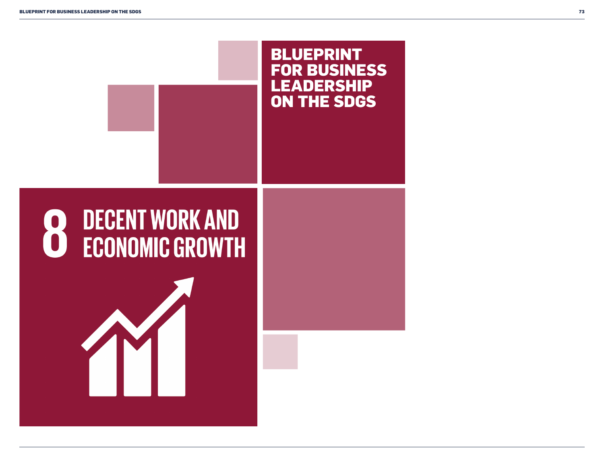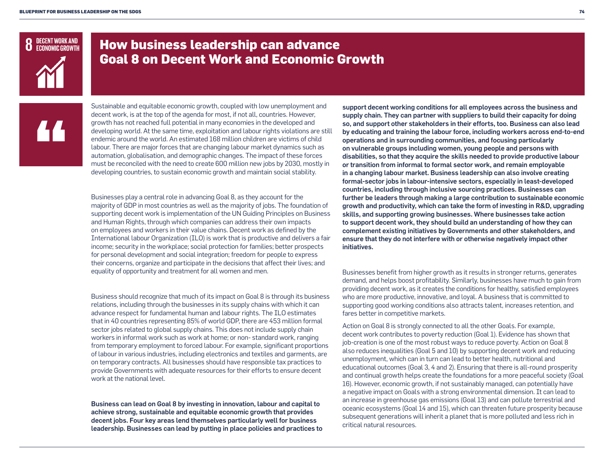# **How business leadership can advance Goal 8 on Decent Work and Economic Growth**

44

DECENT WORK AND<br>ECONOMIC GROWTH

Sustainable and equitable economic growth, coupled with low unemployment and decent work, is at the top of the agenda for most, if not all, countries. However, growth has not reached full potential in many economies in the developed and developing world. At the same time, exploitation and labour rights violations are still endemic around the world. An estimated 168 million children are victims of child labour. There are major forces that are changing labour market dynamics such as automation, globalisation, and demographic changes. The impact of these forces must be reconciled with the need to create 600 million new jobs by 2030, mostly in developing countries, to sustain economic growth and maintain social stability.

Businesses play a central role in advancing Goal 8, as they account for the majority of GDP in most countries as well as the majority of jobs. The foundation of supporting decent work is implementation of the UN Guiding Principles on Business and Human Rights, through which companies can address their own impacts on employees and workers in their value chains. Decent work as defined by the International labour Organization (ILO) is work that is productive and delivers a fair income; security in the workplace; social protection for families; better prospects for personal development and social integration; freedom for people to express their concerns, organize and participate in the decisions that affect their lives; and equality of opportunity and treatment for all women and men.

Business should recognize that much of its impact on Goal 8 is through its business relations, including through the businesses in its supply chains with which it can advance respect for fundamental human and labour rights. The ILO estimates that in 40 countries representing 85% of world GDP, there are 453 million formal sector jobs related to global supply chains. This does not include supply chain workers in informal work such as work at home; or non- standard work, ranging from temporary employment to forced labour. For example, significant proportions of labour in various industries, including electronics and textiles and garments, are on temporary contracts. All businesses should have responsible tax practices to provide Governments with adequate resources for their efforts to ensure decent work at the national level.

Business can lead on Goal 8 by investing in innovation, labour and capital to achieve strong, sustainable and equitable economic growth that provides decent jobs. Four key areas lend themselves particularly well for business leadership. Businesses can lead by putting in place policies and practices to support decent working conditions for all employees across the business and supply chain. They can partner with suppliers to build their capacity for doing so, and support other stakeholders in their efforts, too. Business can also lead by educating and training the labour force, including workers across end-to-end operations and in surrounding communities, and focusing particularly on vulnerable groups including women, young people and persons with disabilities, so that they acquire the skills needed to provide productive labour or transition from informal to formal sector work, and remain employable in a changing labour market. Business leadership can also involve creating formal-sector jobs in labour-intensive sectors, especially in least-developed countries, including through inclusive sourcing practices. Businesses can further be leaders through making a large contribution to sustainable economic growth and productivity, which can take the form of investing in R&D, upgrading skills, and supporting growing businesses. Where businesses take action to support decent work, they should build an understanding of how they can complement existing initiatives by Governments and other stakeholders, and ensure that they do not interfere with or otherwise negatively impact other initiatives.

Businesses benefit from higher growth as it results in stronger returns, generates demand, and helps boost profitability. Similarly, businesses have much to gain from providing decent work, as it creates the conditions for healthy, satisfied employees who are more productive, innovative, and loyal. A business that is committed to supporting good working conditions also attracts talent, increases retention, and fares better in competitive markets.

Action on Goal 8 is strongly connected to all the other Goals. For example, decent work contributes to poverty reduction (Goal 1). Evidence has shown that job-creation is one of the most robust ways to reduce poverty. Action on Goal 8 also reduces inequalities (Goal 5 and 10) by supporting decent work and reducing unemployment, which can in turn can lead to better health, nutritional and educational outcomes (Goal 3, 4 and 2). Ensuring that there is all-round prosperity and continual growth helps create the foundations for a more peaceful society (Goal 16). However, economic growth, if not sustainably managed, can potentially have a negative impact on Goals with a strong environmental dimension. It can lead to an increase in greenhouse gas emissions (Goal 13) and can pollute terrestrial and oceanic ecosystems (Goal 14 and 15), which can threaten future prosperity because subsequent generations will inherit a planet that is more polluted and less rich in critical natural resources.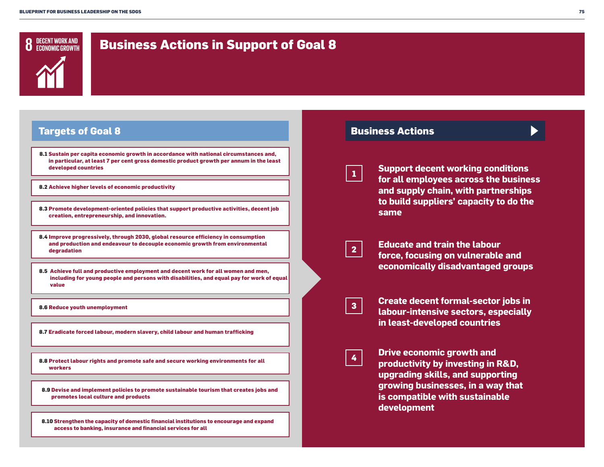

### **Business Actions in Support of Goal 8**

#### **Targets of Goal 8**

**8.1 Sustain per capita economic growth in accordance with national circumstances and, in particular, at least 7 per cent gross domestic product growth per annum in the least developed countries** 

**8.2 Achieve higher levels of economic productivity**

**8.3 Promote development-oriented policies that support productive activities, decent job creation, entrepreneurship, and innovation.** 

**8.4 Improve progressively, through 2030, global resource efficiency in consumption and production and endeavour to decouple economic growth from environmental degradation**

**8.5 Achieve full and productive employment and decent work for all women and men, including for young people and persons with disabilities, and equal pay for work of equal value** 

**8.6 Reduce youth unemployment**

**8.7 Eradicate forced labour, modern slavery, child labour and human trafficking**

**8.8 Protect labour rights and promote safe and secure working environments for all workers** 

**8.9 Devise and implement policies to promote sustainable tourism that creates jobs and promotes local culture and products** 

**8.10 Strengthen the capacity of domestic financial institutions to encourage and expand access to banking, insurance and financial services for all** 

#### **Business Actions**

**1**

**Support decent working conditions for all employees across the business and supply chain, with partnerships to build suppliers' capacity to do the same**

**2**

**Educate and train the labour force, focusing on vulnerable and economically disadvantaged groups**

**Create decent formal-sector jobs in labour-intensive sectors, especially in least-developed countries**

**3**

**Drive economic growth and productivity by investing in R&D, upgrading skills, and supporting growing businesses, in a way that is compatible with sustainable development**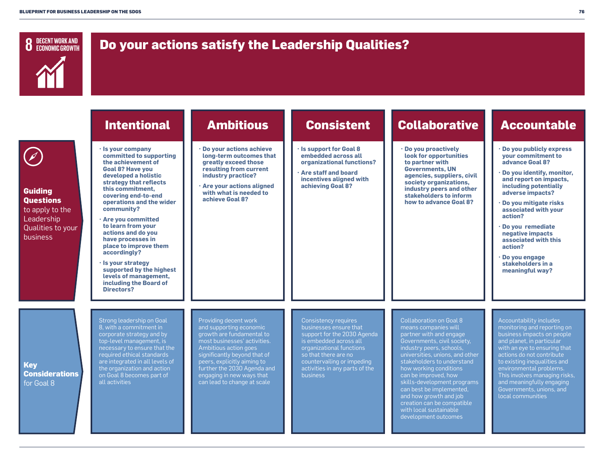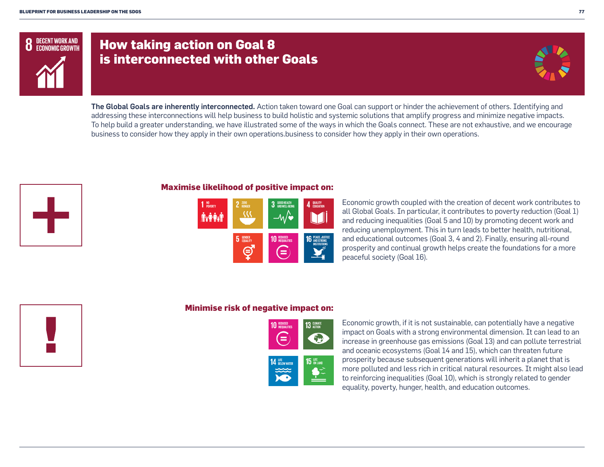

## **How taking action on Goal 8 is interconnected with other Goals**



The Global Goals are inherently interconnected. Action taken toward one Goal can support or hinder the achievement of others. Identifying and addressing these interconnections will help business to build holistic and systemic solutions that amplify progress and minimize negative impacts. To help build a greater understanding, we have illustrated some of the ways in which the Goals connect. These are not exhaustive, and we encourage business to consider how they apply in their own operations.business to consider how they apply in their own operations.



#### **Maximise likelihood of positive impact on:**



Economic growth coupled with the creation of decent work contributes to all Global Goals. In particular, it contributes to poverty reduction (Goal 1) and reducing inequalities (Goal 5 and 10) by promoting decent work and reducing unemployment. This in turn leads to better health, nutritional, and educational outcomes (Goal 3, 4 and 2). Finally, ensuring all-round prosperity and continual growth helps create the foundations for a more peaceful society (Goal 16).



#### **Minimise risk of negative impact on:**





Economic growth, if it is not sustainable, can potentially have a negative impact on Goals with a strong environmental dimension. It can lead to an increase in greenhouse gas emissions (Goal 13) and can pollute terrestrial and oceanic ecosystems (Goal 14 and 15), which can threaten future prosperity because subsequent generations will inherit a planet that is more polluted and less rich in critical natural resources. It might also lead to reinforcing inequalities (Goal 10), which is strongly related to gender equality, poverty, hunger, health, and education outcomes.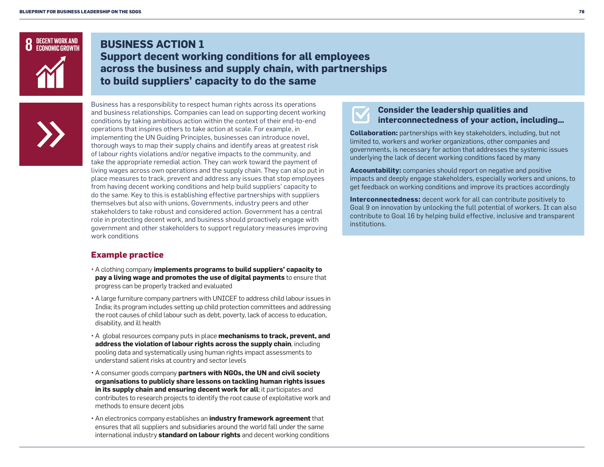

#### **BUSINESS ACTION 1**

**Support decent working conditions for all employees across the business and supply chain, with partnerships to build suppliers' capacity to do the same**



Business has a responsibility to respect human rights across its operations and business relationships. Companies can lead on supporting decent working conditions by taking ambitious action within the context of their end-to-end operations that inspires others to take action at scale. For example, in implementing the UN Guiding Principles, businesses can introduce novel, thorough ways to map their supply chains and identify areas at greatest risk of labour rights violations and/or negative impacts to the community, and take the appropriate remedial action. They can work toward the payment of living wages across own operations and the supply chain. They can also put in place measures to track, prevent and address any issues that stop employees from having decent working conditions and help build suppliers' capacity to do the same. Key to this is establishing effective partnerships with suppliers themselves but also with unions, Governments, industry peers and other stakeholders to take robust and considered action. Government has a central role in protecting decent work, and business should proactively engage with government and other stakeholders to support regulatory measures improving work conditions

#### **Example practice**

- A clothing company **implements programs to build suppliers' capacity to pay a living wage and promotes the use of digital payments** to ensure that progress can be properly tracked and evaluated
- A large furniture company partners with UNICEF to address child labour issues in India; its program includes setting up child protection committees and addressing the root causes of child labour such as debt, poverty, lack of access to education, disability, and ill health
- A global resources company puts in place **mechanisms to track, prevent, and address the violation of labour rights across the supply chain**, including pooling data and systematically using human rights impact assessments to understand salient risks at country and sector levels
- A consumer goods company **partners with NGOs, the UN and civil society organisations to publicly share lessons on tackling human rights issues in its supply chain and ensuring decent work for all**; it participates and contributes to research projects to identify the root cause of exploitative work and methods to ensure decent jobs
- An electronics company establishes an **industry framework agreement** that ensures that all suppliers and subsidiaries around the world fall under the same international industry **standard on labour rights** and decent working conditions



#### **Consider the leadership qualities and interconnectedness of your action, including…**

**Collaboration:** partnerships with key stakeholders, including, but not limited to, workers and worker organizations, other companies and governments, is necessary for action that addresses the systemic issues underlying the lack of decent working conditions faced by many

**Accountability:** companies should report on negative and positive impacts and deeply engage stakeholders, especially workers and unions, to get feedback on working conditions and improve its practices accordingly

**Interconnectedness:** decent work for all can contribute positively to Goal 9 on innovation by unlocking the full potential of workers. It can also contribute to Goal 16 by helping build effective, inclusive and transparent institutions.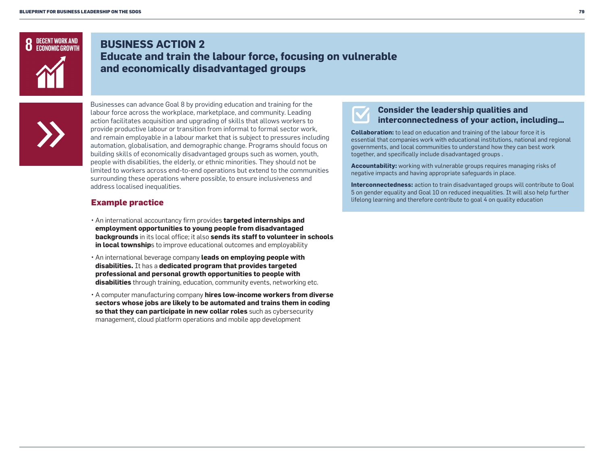

# **BUSINESS ACTION 2**

**Educate and train the labour force, focusing on vulnerable and economically disadvantaged groups**



Businesses can advance Goal 8 by providing education and training for the labour force across the workplace, marketplace, and community. Leading action facilitates acquisition and upgrading of skills that allows workers to provide productive labour or transition from informal to formal sector work, and remain employable in a labour market that is subject to pressures including automation, globalisation, and demographic change. Programs should focus on building skills of economically disadvantaged groups such as women, youth, people with disabilities, the elderly, or ethnic minorities. They should not be limited to workers across end-to-end operations but extend to the communities surrounding these operations where possible, to ensure inclusiveness and address localised inequalities.

#### **Example practice**

- An international accountancy firm provides **targeted internships and employment opportunities to young people from disadvantaged backgrounds** in its local office; it also **sends its staff to volunteer in schools in local township**s to improve educational outcomes and employability
- An international beverage company **leads on employing people with disabilities.** It has a **dedicated program that provides targeted professional and personal growth opportunities to people with disabilities** through training, education, community events, networking etc.
- A computer manufacturing company **hires low-income workers from diverse sectors whose jobs are likely to be automated and trains them in coding so that they can participate in new collar roles** such as cybersecurity management, cloud platform operations and mobile app development



#### **Consider the leadership qualities and interconnectedness of your action, including…**

**Collaboration:** to lead on education and training of the labour force it is essential that companies work with educational institutions, national and regional governments, and local communities to understand how they can best work together, and specifically include disadvantaged groups .

**Accountability:** working with vulnerable groups requires managing risks of negative impacts and having appropriate safeguards in place.

**Interconnectedness:** action to train disadvantaged groups will contribute to Goal 5 on gender equality and Goal 10 on reduced inequalities. It will also help further lifelong learning and therefore contribute to goal 4 on quality education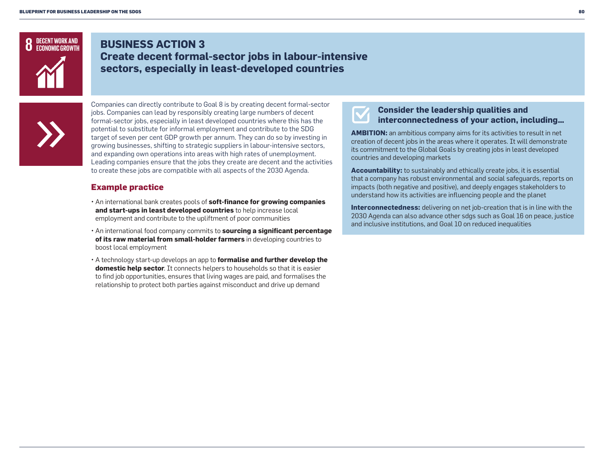# DECENT WORK AND<br>ECONOMIC GROWTH

## **BUSINESS ACTION 3**

**Create decent formal-sector jobs in labour-intensive sectors, especially in least-developed countries**



Companies can directly contribute to Goal 8 is by creating decent formal-sector jobs. Companies can lead by responsibly creating large numbers of decent formal-sector jobs, especially in least developed countries where this has the potential to substitute for informal employment and contribute to the SDG target of seven per cent GDP growth per annum. They can do so by investing in growing businesses, shifting to strategic suppliers in labour-intensive sectors, and expanding own operations into areas with high rates of unemployment. Leading companies ensure that the jobs they create are decent and the activities to create these jobs are compatible with all aspects of the 2030 Agenda.

#### **Example practice**

- An international bank creates pools of **soft-finance for growing companies and start-ups in least developed countries** to help increase local employment and contribute to the upliftment of poor communities
- An international food company commits to **sourcing a significant percentage of its raw material from small-holder farmers** in developing countries to boost local employment
- A technology start-up develops an app to **formalise and further develop the domestic help sector**. It connects helpers to households so that it is easier to find job opportunities, ensures that living wages are paid, and formalises the relationship to protect both parties against misconduct and drive up demand



#### **Consider the leadership qualities and interconnectedness of your action, including…**

**AMBITION:** an ambitious company aims for its activities to result in net creation of decent jobs in the areas where it operates. It will demonstrate its commitment to the Global Goals by creating jobs in least developed countries and developing markets

**Accountability:** to sustainably and ethically create jobs, it is essential that a company has robust environmental and social safeguards, reports on impacts (both negative and positive), and deeply engages stakeholders to understand how its activities are influencing people and the planet

**Interconnectedness:** delivering on net job-creation that is in line with the 2030 Agenda can also advance other sdgs such as Goal 16 on peace, justice and inclusive institutions, and Goal 10 on reduced inequalities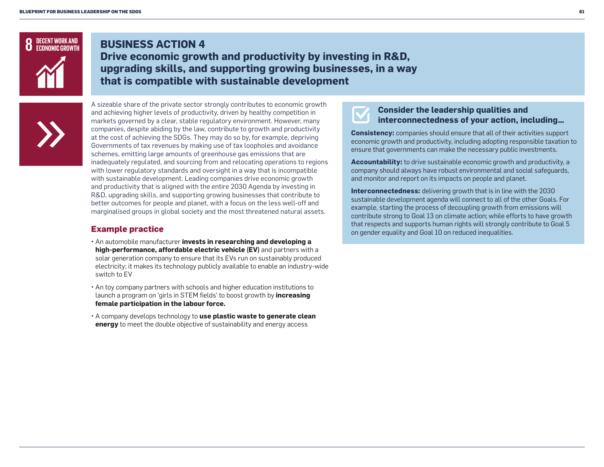

#### **BUSINESS ACTION 4**

**Drive economic growth and productivity by investing in R&D, upgrading skills, and supporting growing businesses, in a way that is compatible with sustainable development** 



A sizeable share of the private sector strongly contributes to economic growth and achieving higher levels of productivity, driven by healthy competition in markets governed by a clear, stable regulatory environment. However, many companies, despite abiding by the law, contribute to growth and productivity at the cost of achieving the SDGs. They may do so by, for example, depriving Governments of tax revenues by making use of tax loopholes and avoidance schemes, emitting large amounts of greenhouse gas emissions that are inadequately regulated, and sourcing from and relocating operations to regions with lower regulatory standards and oversight in a way that is incompatible with sustainable development. Leading companies drive economic growth and productivity that is aligned with the entire 2030 Agenda by investing in R&D, upgrading skills, and supporting growing businesses that contribute to better outcomes for people and planet, with a focus on the less well-off and marginalised groups in global society and the most threatened natural assets.

#### **Example practice**

- An automobile manufacturer **invests in researching and developing a high-performance, affordable electric vehicle (EV)** and partners with a solar generation company to ensure that its EVs run on sustainably produced electricity; it makes its technology publicly available to enable an industry-wide switch to EV
- An toy company partners with schools and higher education institutions to launch a program on 'girls in STEM fields' to boost growth by **increasing female participation in the labour force.**
- A company develops technology to **use plastic waste to generate clean energy** to meet the double objective of sustainability and energy access



#### **Consider the leadership qualities and interconnectedness of your action, including…**

**Consistency:** companies should ensure that all of their activities support economic growth and productivity, including adopting responsible taxation to ensure that governments can make the necessary public investments.

**Accountability:** to drive sustainable economic growth and productivity, a company should always have robust environmental and social safeguards, and monitor and report on its impacts on people and planet.

**Interconnectedness:** delivering growth that is in line with the 2030 sustainable development agenda will connect to all of the other Goals. For example, starting the process of decoupling growth from emissions will contribute strong to Goal 13 on climate action; while efforts to have growth that respects and supports human rights will strongly contribute to Goal 5 on gender equality and Goal 10 on reduced inequalities.